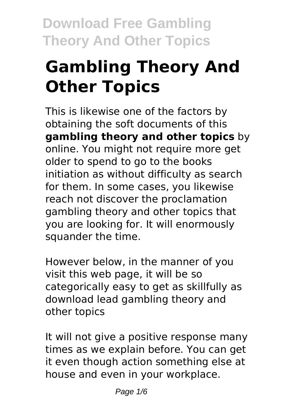# **Gambling Theory And Other Topics**

This is likewise one of the factors by obtaining the soft documents of this **gambling theory and other topics** by online. You might not require more get older to spend to go to the books initiation as without difficulty as search for them. In some cases, you likewise reach not discover the proclamation gambling theory and other topics that you are looking for. It will enormously squander the time.

However below, in the manner of you visit this web page, it will be so categorically easy to get as skillfully as download lead gambling theory and other topics

It will not give a positive response many times as we explain before. You can get it even though action something else at house and even in your workplace.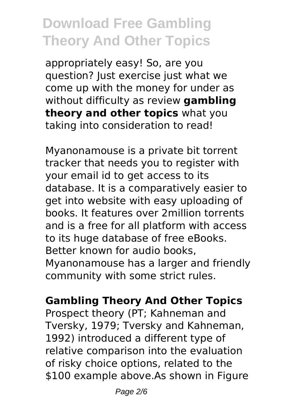appropriately easy! So, are you question? Just exercise just what we come up with the money for under as without difficulty as review **gambling theory and other topics** what you taking into consideration to read!

Myanonamouse is a private bit torrent tracker that needs you to register with your email id to get access to its database. It is a comparatively easier to get into website with easy uploading of books. It features over 2million torrents and is a free for all platform with access to its huge database of free eBooks. Better known for audio books, Myanonamouse has a larger and friendly community with some strict rules.

### **Gambling Theory And Other Topics**

Prospect theory (PT; Kahneman and Tversky, 1979; Tversky and Kahneman, 1992) introduced a different type of relative comparison into the evaluation of risky choice options, related to the \$100 example above.As shown in Figure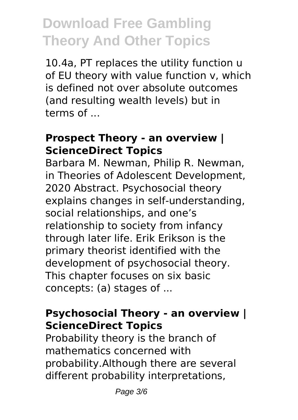10.4a, PT replaces the utility function u of EU theory with value function v, which is defined not over absolute outcomes (and resulting wealth levels) but in terms of ...

#### **Prospect Theory - an overview | ScienceDirect Topics**

Barbara M. Newman, Philip R. Newman, in Theories of Adolescent Development, 2020 Abstract. Psychosocial theory explains changes in self-understanding, social relationships, and one's relationship to society from infancy through later life. Erik Erikson is the primary theorist identified with the development of psychosocial theory. This chapter focuses on six basic concepts: (a) stages of ...

### **Psychosocial Theory - an overview | ScienceDirect Topics**

Probability theory is the branch of mathematics concerned with probability.Although there are several different probability interpretations,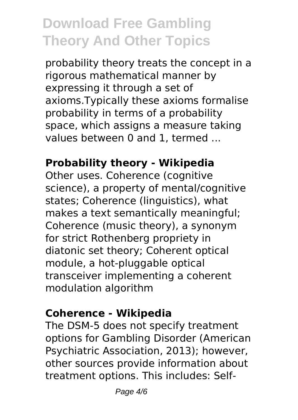probability theory treats the concept in a rigorous mathematical manner by expressing it through a set of axioms.Typically these axioms formalise probability in terms of a probability space, which assigns a measure taking values between 0 and 1, termed ...

### **Probability theory - Wikipedia**

Other uses. Coherence (cognitive science), a property of mental/cognitive states; Coherence (linguistics), what makes a text semantically meaningful; Coherence (music theory), a synonym for strict Rothenberg propriety in diatonic set theory; Coherent optical module, a hot-pluggable optical transceiver implementing a coherent modulation algorithm

#### **Coherence - Wikipedia**

The DSM-5 does not specify treatment options for Gambling Disorder (American Psychiatric Association, 2013); however, other sources provide information about treatment options. This includes: Self-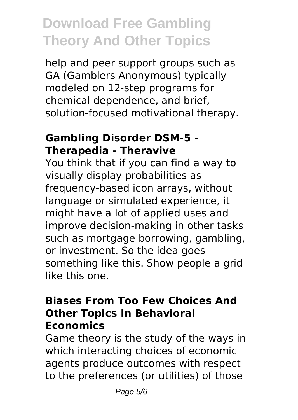help and peer support groups such as GA (Gamblers Anonymous) typically modeled on 12-step programs for chemical dependence, and brief, solution-focused motivational therapy.

#### **Gambling Disorder DSM-5 - Therapedia - Theravive**

You think that if you can find a way to visually display probabilities as frequency-based icon arrays, without language or simulated experience, it might have a lot of applied uses and improve decision-making in other tasks such as mortgage borrowing, gambling, or investment. So the idea goes something like this. Show people a grid like this one.

#### **Biases From Too Few Choices And Other Topics In Behavioral Economics**

Game theory is the study of the ways in which interacting choices of economic agents produce outcomes with respect to the preferences (or utilities) of those